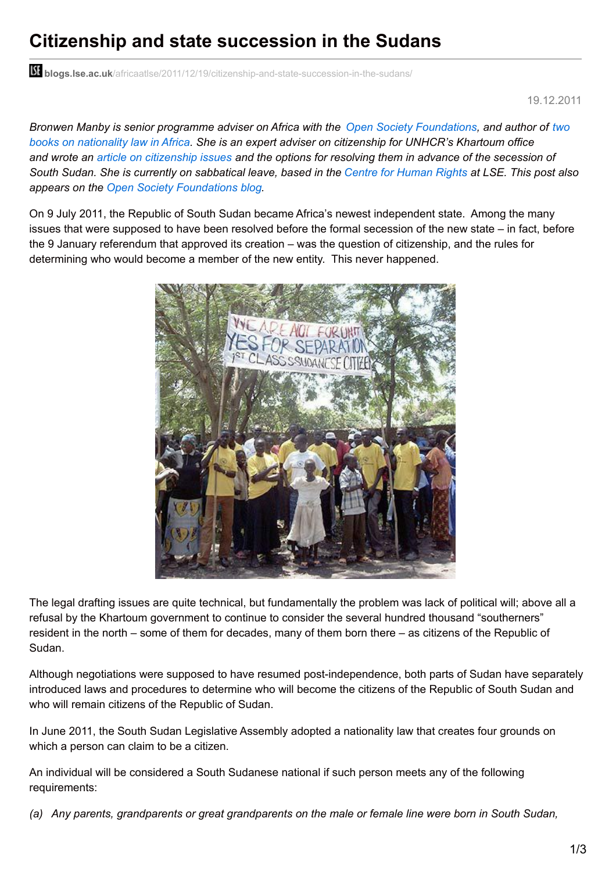## **Citizenship and state succession in the Sudans**

**bli blogs.lse.ac.uk**[/africaatlse/2011/12/19/citizenship-and-state-succession-in-the-sudans/](http://blogs.lse.ac.uk/africaatlse/2011/12/19/citizenship-and-state-succession-in-the-sudans/)

19.12.2011

*Bronwen Manby is senior programme adviser on Africa with the Open Society [Foundations,](http://www.afrimap.org/ReportTheme/Citizenship) and author of two books on nationality law in Africa. She is an expert adviser on citizenship for UNHCR's Khartoum office* and wrote an article on [citizenship](http://www.afrimap.org/english/images/report/OSF_Sudan_nationality.pdf) issues and the options for resolving them in advance of the secession of South Sudan. She is currently on sabbatical leave, based in the Centre for [Human](http://www2.lse.ac.uk/humanRights/home.aspx) Rights at LSE. This post also *appears on the Open Society [Foundations](http://blog.soros.org/) blog.*

On 9 July 2011, the Republic of South Sudan became Africa's newest independent state. Among the many issues that were supposed to have been resolved before the formal secession of the new state – in fact, before the 9 January referendum that approved its creation – was the question of citizenship, and the rules for determining who would become a member of the new entity. This never happened.



The legal drafting issues are quite technical, but fundamentally the problem was lack of political will; above all a refusal by the Khartoum government to continue to consider the several hundred thousand "southerners" resident in the north – some of them for decades, many of them born there – as citizens of the Republic of Sudan.

Although negotiations were supposed to have resumed post-independence, both parts of Sudan have separately introduced laws and procedures to determine who will become the citizens of the Republic of South Sudan and who will remain citizens of the Republic of Sudan.

In June 2011, the South Sudan Legislative Assembly adopted a nationality law that creates four grounds on which a person can claim to be a citizen.

An individual will be considered a South Sudanese national if such person meets any of the following requirements:

(a) Any parents, grandparents or great grandparents on the male or female line were born in South Sudan,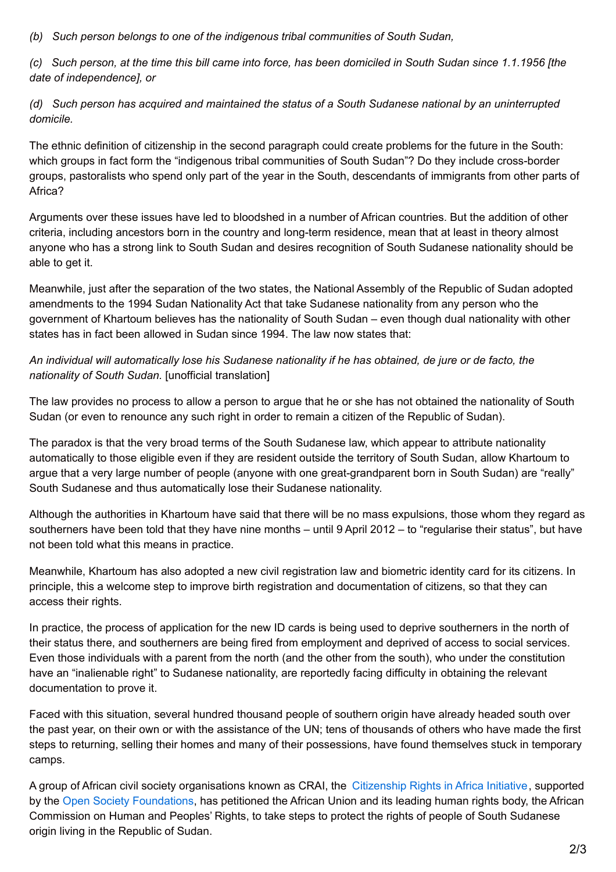*(b) Such person belongs to one of the indigenous tribal communities of South Sudan,*

(c) Such person, at the time this bill came into force, has been domiciled in South Sudan since 1.1.1956 [the *date of independence], or*

*(d) Such person has acquired and maintained the status of a South Sudanese national by an uninterrupted domicile.*

The ethnic definition of citizenship in the second paragraph could create problems for the future in the South: which groups in fact form the "indigenous tribal communities of South Sudan"? Do they include cross-border groups, pastoralists who spend only part of the year in the South, descendants of immigrants from other parts of Africa?

Arguments over these issues have led to bloodshed in a number of African countries. But the addition of other criteria, including ancestors born in the country and long-term residence, mean that at least in theory almost anyone who has a strong link to South Sudan and desires recognition of South Sudanese nationality should be able to get it.

Meanwhile, just after the separation of the two states, the National Assembly of the Republic of Sudan adopted amendments to the 1994 Sudan Nationality Act that take Sudanese nationality from any person who the government of Khartoum believes has the nationality of South Sudan – even though dual nationality with other states has in fact been allowed in Sudan since 1994. The law now states that:

An individual will automatically lose his Sudanese nationality if he has obtained, de jure or de facto, the *nationality of South Sudan.* [unofficial translation]

The law provides no process to allow a person to argue that he or she has not obtained the nationality of South Sudan (or even to renounce any such right in order to remain a citizen of the Republic of Sudan).

The paradox is that the very broad terms of the South Sudanese law, which appear to attribute nationality automatically to those eligible even if they are resident outside the territory of South Sudan, allow Khartoum to argue that a very large number of people (anyone with one great-grandparent born in South Sudan) are "really" South Sudanese and thus automatically lose their Sudanese nationality.

Although the authorities in Khartoum have said that there will be no mass expulsions, those whom they regard as southerners have been told that they have nine months – until 9 April 2012 – to "regularise their status", but have not been told what this means in practice.

Meanwhile, Khartoum has also adopted a new civil registration law and biometric identity card for its citizens. In principle, this a welcome step to improve birth registration and documentation of citizens, so that they can access their rights.

In practice, the process of application for the new ID cards is being used to deprive southerners in the north of their status there, and southerners are being fired from employment and deprived of access to social services. Even those individuals with a parent from the north (and the other from the south), who under the constitution have an "inalienable right" to Sudanese nationality, are reportedly facing difficulty in obtaining the relevant documentation to prove it.

Faced with this situation, several hundred thousand people of southern origin have already headed south over the past year, on their own or with the assistance of the UN; tens of thousands of others who have made the first steps to returning, selling their homes and many of their possessions, have found themselves stuck in temporary camps.

A group of African civil society organisations known as CRAI, the [Citizenship](http://citizenshiprightsinafrica.org/) Rights in Africa Initiative, supported by the Open Society [Foundations](http://www.soros.org/initiatives/justice/focus/statelessness), has petitioned the African Union and its leading human rights body, the African Commission on Human and Peoples' Rights, to take steps to protect the rights of people of South Sudanese origin living in the Republic of Sudan.